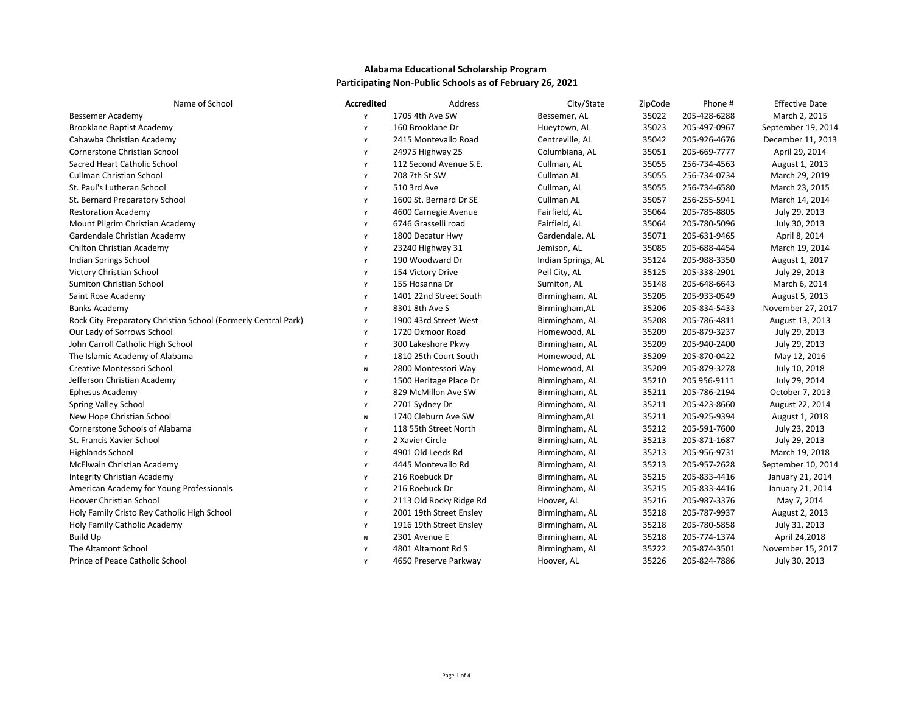| Name of School                                                 | <b>Accredited</b> | Address                 | City/State         | ZipCode | Phone #      | <b>Effective Date</b> |
|----------------------------------------------------------------|-------------------|-------------------------|--------------------|---------|--------------|-----------------------|
| <b>Bessemer Academy</b>                                        | v                 | 1705 4th Ave SW         | Bessemer, AL       | 35022   | 205-428-6288 | March 2, 2015         |
| <b>Brooklane Baptist Academy</b>                               | Y                 | 160 Brooklane Dr        | Hueytown, AL       | 35023   | 205-497-0967 | September 19, 2014    |
| Cahawba Christian Academy                                      | Υ                 | 2415 Montevallo Road    | Centreville, AL    | 35042   | 205-926-4676 | December 11, 2013     |
| Cornerstone Christian School                                   | Υ                 | 24975 Highway 25        | Columbiana, AL     | 35051   | 205-669-7777 | April 29, 2014        |
| Sacred Heart Catholic School                                   | Υ                 | 112 Second Avenue S.E.  | Cullman, AL        | 35055   | 256-734-4563 | August 1, 2013        |
| <b>Cullman Christian School</b>                                | Y                 | 708 7th St SW           | Cullman AL         | 35055   | 256-734-0734 | March 29, 2019        |
| St. Paul's Lutheran School                                     | Υ                 | 510 3rd Ave             | Cullman, AL        | 35055   | 256-734-6580 | March 23, 2015        |
| St. Bernard Preparatory School                                 | Y                 | 1600 St. Bernard Dr SE  | Cullman AL         | 35057   | 256-255-5941 | March 14, 2014        |
| <b>Restoration Academy</b>                                     | Y                 | 4600 Carnegie Avenue    | Fairfield, AL      | 35064   | 205-785-8805 | July 29, 2013         |
| Mount Pilgrim Christian Academy                                | Y                 | 6746 Grasselli road     | Fairfield, AL      | 35064   | 205-780-5096 | July 30, 2013         |
| Gardendale Christian Academy                                   | Y                 | 1800 Decatur Hwy        | Gardendale, AL     | 35071   | 205-631-9465 | April 8, 2014         |
| Chilton Christian Academy                                      | Y                 | 23240 Highway 31        | Jemison, AL        | 35085   | 205-688-4454 | March 19, 2014        |
| Indian Springs School                                          | Y                 | 190 Woodward Dr         | Indian Springs, AL | 35124   | 205-988-3350 | August 1, 2017        |
| Victory Christian School                                       | Y                 | 154 Victory Drive       | Pell City, AL      | 35125   | 205-338-2901 | July 29, 2013         |
| Sumiton Christian School                                       | Υ                 | 155 Hosanna Dr          | Sumiton, AL        | 35148   | 205-648-6643 | March 6, 2014         |
| Saint Rose Academy                                             | Υ                 | 1401 22nd Street South  | Birmingham, AL     | 35205   | 205-933-0549 | August 5, 2013        |
| <b>Banks Academy</b>                                           | Υ                 | 8301 8th Ave S          | Birmingham, AL     | 35206   | 205-834-5433 | November 27, 2017     |
| Rock City Preparatory Christian School (Formerly Central Park) | Υ                 | 1900 43rd Street West   | Birmingham, AL     | 35208   | 205-786-4811 | August 13, 2013       |
| Our Lady of Sorrows School                                     | Υ                 | 1720 Oxmoor Road        | Homewood, AL       | 35209   | 205-879-3237 | July 29, 2013         |
| John Carroll Catholic High School                              | Y                 | 300 Lakeshore Pkwy      | Birmingham, AL     | 35209   | 205-940-2400 | July 29, 2013         |
| The Islamic Academy of Alabama                                 | Y                 | 1810 25th Court South   | Homewood, AL       | 35209   | 205-870-0422 | May 12, 2016          |
| Creative Montessori School                                     | N                 | 2800 Montessori Way     | Homewood, AL       | 35209   | 205-879-3278 | July 10, 2018         |
| Jefferson Christian Academy                                    | Υ                 | 1500 Heritage Place Dr  | Birmingham, AL     | 35210   | 205 956-9111 | July 29, 2014         |
| <b>Ephesus Academy</b>                                         | Y                 | 829 McMillon Ave SW     | Birmingham, AL     | 35211   | 205-786-2194 | October 7, 2013       |
| Spring Valley School                                           | Y                 | 2701 Sydney Dr          | Birmingham, AL     | 35211   | 205-423-8660 | August 22, 2014       |
| New Hope Christian School                                      | N                 | 1740 Cleburn Ave SW     | Birmingham, AL     | 35211   | 205-925-9394 | August 1, 2018        |
| Cornerstone Schools of Alabama                                 | Y                 | 118 55th Street North   | Birmingham, AL     | 35212   | 205-591-7600 | July 23, 2013         |
| St. Francis Xavier School                                      | Y                 | 2 Xavier Circle         | Birmingham, AL     | 35213   | 205-871-1687 | July 29, 2013         |
| <b>Highlands School</b>                                        | Y                 | 4901 Old Leeds Rd       | Birmingham, AL     | 35213   | 205-956-9731 | March 19, 2018        |
| McElwain Christian Academy                                     | Υ                 | 4445 Montevallo Rd      | Birmingham, AL     | 35213   | 205-957-2628 | September 10, 2014    |
| Integrity Christian Academy                                    | Y                 | 216 Roebuck Dr          | Birmingham, AL     | 35215   | 205-833-4416 | January 21, 2014      |
| American Academy for Young Professionals                       | Y                 | 216 Roebuck Dr          | Birmingham, AL     | 35215   | 205-833-4416 | January 21, 2014      |
| Hoover Christian School                                        | Υ                 | 2113 Old Rocky Ridge Rd | Hoover, AL         | 35216   | 205-987-3376 | May 7, 2014           |
| Holy Family Cristo Rey Catholic High School                    | Y                 | 2001 19th Street Ensley | Birmingham, AL     | 35218   | 205-787-9937 | August 2, 2013        |
| Holy Family Catholic Academy                                   | Υ                 | 1916 19th Street Ensley | Birmingham, AL     | 35218   | 205-780-5858 | July 31, 2013         |
| <b>Build Up</b>                                                | N                 | 2301 Avenue E           | Birmingham, AL     | 35218   | 205-774-1374 | April 24,2018         |
| The Altamont School                                            | Υ                 | 4801 Altamont Rd S      | Birmingham, AL     | 35222   | 205-874-3501 | November 15, 2017     |
| Prince of Peace Catholic School                                | Y                 | 4650 Preserve Parkway   | Hoover, AL         | 35226   | 205-824-7886 | July 30, 2013         |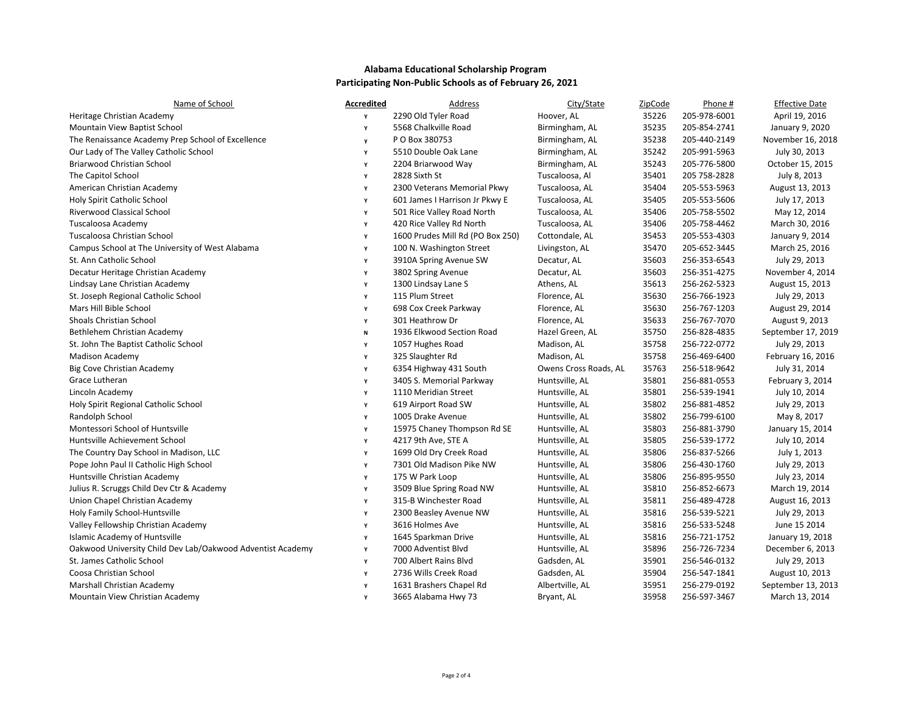| Name of School                                             | <b>Accredited</b> | Address                          | City/State            | ZipCode | Phone #      | <b>Effective Date</b> |
|------------------------------------------------------------|-------------------|----------------------------------|-----------------------|---------|--------------|-----------------------|
| Heritage Christian Academy                                 | Y                 | 2290 Old Tyler Road              | Hoover, AL            | 35226   | 205-978-6001 | April 19, 2016        |
| Mountain View Baptist School                               | Y                 | 5568 Chalkville Road             | Birmingham, AL        | 35235   | 205-854-2741 | January 9, 2020       |
| The Renaissance Academy Prep School of Excellence          | y                 | P O Box 380753                   | Birmingham, AL        | 35238   | 205-440-2149 | November 16, 2018     |
| Our Lady of The Valley Catholic School                     | Υ                 | 5510 Double Oak Lane             | Birmingham, AL        | 35242   | 205-991-5963 | July 30, 2013         |
| Briarwood Christian School                                 | Y                 | 2204 Briarwood Way               | Birmingham, AL        | 35243   | 205-776-5800 | October 15, 2015      |
| The Capitol School                                         | Y                 | 2828 Sixth St                    | Tuscaloosa, Al        | 35401   | 205 758-2828 | July 8, 2013          |
| American Christian Academy                                 | Υ                 | 2300 Veterans Memorial Pkwy      | Tuscaloosa, AL        | 35404   | 205-553-5963 | August 13, 2013       |
| Holy Spirit Catholic School                                | Υ                 | 601 James I Harrison Jr Pkwy E   | Tuscaloosa, AL        | 35405   | 205-553-5606 | July 17, 2013         |
| Riverwood Classical School                                 | Υ                 | 501 Rice Valley Road North       | Tuscaloosa, AL        | 35406   | 205-758-5502 | May 12, 2014          |
| Tuscaloosa Academy                                         | Y                 | 420 Rice Valley Rd North         | Tuscaloosa, AL        | 35406   | 205-758-4462 | March 30, 2016        |
| Tuscaloosa Christian School                                | Υ                 | 1600 Prudes Mill Rd (PO Box 250) | Cottondale, AL        | 35453   | 205-553-4303 | January 9, 2014       |
| Campus School at The University of West Alabama            | Υ                 | 100 N. Washington Street         | Livingston, AL        | 35470   | 205-652-3445 | March 25, 2016        |
| St. Ann Catholic School                                    | Υ                 | 3910A Spring Avenue SW           | Decatur, AL           | 35603   | 256-353-6543 | July 29, 2013         |
| Decatur Heritage Christian Academy                         | Υ                 | 3802 Spring Avenue               | Decatur, AL           | 35603   | 256-351-4275 | November 4, 2014      |
| Lindsay Lane Christian Academy                             | Υ                 | 1300 Lindsay Lane S              | Athens, AL            | 35613   | 256-262-5323 | August 15, 2013       |
| St. Joseph Regional Catholic School                        | Υ                 | 115 Plum Street                  | Florence, AL          | 35630   | 256-766-1923 | July 29, 2013         |
| Mars Hill Bible School                                     | Y                 | 698 Cox Creek Parkway            | Florence, AL          | 35630   | 256-767-1203 | August 29, 2014       |
| <b>Shoals Christian School</b>                             | Y                 | 301 Heathrow Dr                  | Florence, AL          | 35633   | 256-767-7070 | August 9, 2013        |
| Bethlehem Christian Academy                                | N                 | 1936 Elkwood Section Road        | Hazel Green, AL       | 35750   | 256-828-4835 | September 17, 2019    |
| St. John The Baptist Catholic School                       | Υ                 | 1057 Hughes Road                 | Madison, AL           | 35758   | 256-722-0772 | July 29, 2013         |
| <b>Madison Academy</b>                                     | Υ                 | 325 Slaughter Rd                 | Madison, AL           | 35758   | 256-469-6400 | February 16, 2016     |
| Big Cove Christian Academy                                 | Υ                 | 6354 Highway 431 South           | Owens Cross Roads, AL | 35763   | 256-518-9642 | July 31, 2014         |
| Grace Lutheran                                             | Y                 | 3405 S. Memorial Parkway         | Huntsville, AL        | 35801   | 256-881-0553 | February 3, 2014      |
| Lincoln Academy                                            | Υ                 | 1110 Meridian Street             | Huntsville, AL        | 35801   | 256-539-1941 | July 10, 2014         |
| Holy Spirit Regional Catholic School                       | Υ                 | 619 Airport Road SW              | Huntsville, AL        | 35802   | 256-881-4852 | July 29, 2013         |
| Randolph School                                            | Υ                 | 1005 Drake Avenue                | Huntsville, AL        | 35802   | 256-799-6100 | May 8, 2017           |
| Montessori School of Huntsville                            | Y                 | 15975 Chaney Thompson Rd SE      | Huntsville, AL        | 35803   | 256-881-3790 | January 15, 2014      |
| Huntsville Achievement School                              | Υ                 | 4217 9th Ave, STE A              | Huntsville, AL        | 35805   | 256-539-1772 | July 10, 2014         |
| The Country Day School in Madison, LLC                     | Υ                 | 1699 Old Dry Creek Road          | Huntsville, AL        | 35806   | 256-837-5266 | July 1, 2013          |
| Pope John Paul II Catholic High School                     | Y                 | 7301 Old Madison Pike NW         | Huntsville, AL        | 35806   | 256-430-1760 | July 29, 2013         |
| Huntsville Christian Academy                               | Y                 | 175 W Park Loop                  | Huntsville, AL        | 35806   | 256-895-9550 | July 23, 2014         |
| Julius R. Scruggs Child Dev Ctr & Academy                  | Y                 | 3509 Blue Spring Road NW         | Huntsville, AL        | 35810   | 256-852-6673 | March 19, 2014        |
| Union Chapel Christian Academy                             | Y                 | 315-B Winchester Road            | Huntsville, AL        | 35811   | 256-489-4728 | August 16, 2013       |
| Holy Family School-Huntsville                              | Υ                 | 2300 Beasley Avenue NW           | Huntsville, AL        | 35816   | 256-539-5221 | July 29, 2013         |
| Valley Fellowship Christian Academy                        | Υ                 | 3616 Holmes Ave                  | Huntsville, AL        | 35816   | 256-533-5248 | June 15 2014          |
| Islamic Academy of Huntsville                              | Υ                 | 1645 Sparkman Drive              | Huntsville, AL        | 35816   | 256-721-1752 | January 19, 2018      |
| Oakwood University Child Dev Lab/Oakwood Adventist Academy | Υ                 | 7000 Adventist Blvd              | Huntsville, AL        | 35896   | 256-726-7234 | December 6, 2013      |
| St. James Catholic School                                  | Υ                 | 700 Albert Rains Blyd            | Gadsden, AL           | 35901   | 256-546-0132 | July 29, 2013         |
| Coosa Christian School                                     | Υ                 | 2736 Wills Creek Road            | Gadsden, AL           | 35904   | 256-547-1841 | August 10, 2013       |
| Marshall Christian Academy                                 | Υ                 | 1631 Brashers Chapel Rd          | Albertville, AL       | 35951   | 256-279-0192 | September 13, 2013    |
| Mountain View Christian Academy                            | Y                 | 3665 Alabama Hwy 73              | Bryant, AL            | 35958   | 256-597-3467 | March 13, 2014        |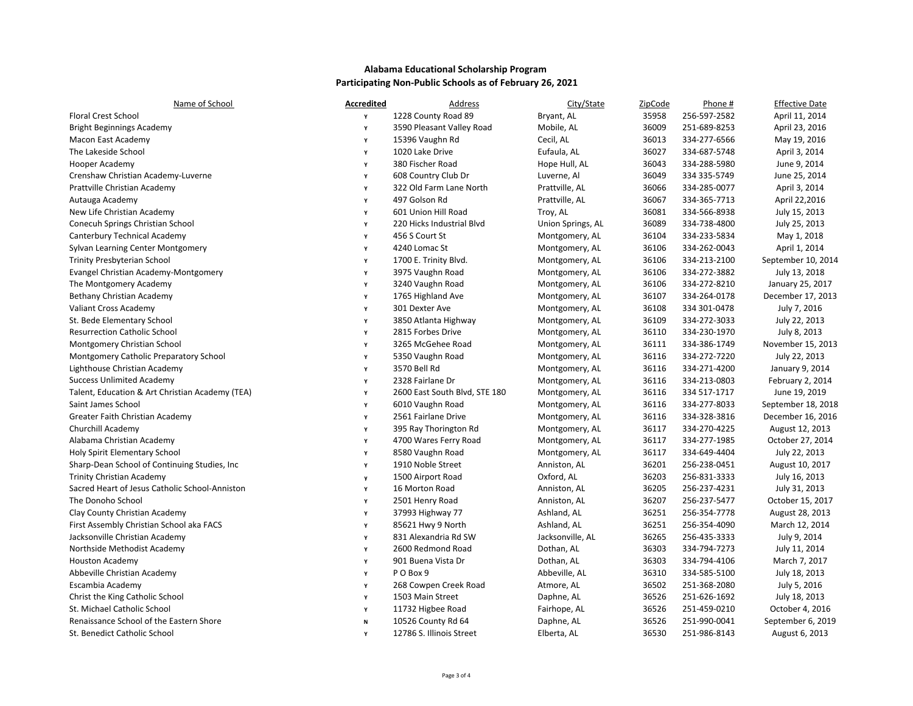| Name of School                                  | <b>Accredited</b> | Address                       | City/State        | ZipCode | Phone #      | <b>Effective Date</b> |
|-------------------------------------------------|-------------------|-------------------------------|-------------------|---------|--------------|-----------------------|
| <b>Floral Crest School</b>                      | Y                 | 1228 County Road 89           | Bryant, AL        | 35958   | 256-597-2582 | April 11, 2014        |
| <b>Bright Beginnings Academy</b>                | Y                 | 3590 Pleasant Valley Road     | Mobile, AL        | 36009   | 251-689-8253 | April 23, 2016        |
| Macon East Academy                              | Y                 | 15396 Vaughn Rd               | Cecil, AL         | 36013   | 334-277-6566 | May 19, 2016          |
| The Lakeside School                             | Y                 | 1020 Lake Drive               | Eufaula, AL       | 36027   | 334-687-5748 | April 3, 2014         |
| Hooper Academy                                  | Y                 | 380 Fischer Road              | Hope Hull, AL     | 36043   | 334-288-5980 | June 9, 2014          |
| Crenshaw Christian Academy-Luverne              | Y                 | 608 Country Club Dr           | Luverne, Al       | 36049   | 334 335-5749 | June 25, 2014         |
| Prattville Christian Academy                    | Y                 | 322 Old Farm Lane North       | Prattville, AL    | 36066   | 334-285-0077 | April 3, 2014         |
| Autauga Academy                                 | Y                 | 497 Golson Rd                 | Prattville, AL    | 36067   | 334-365-7713 | April 22,2016         |
| New Life Christian Academy                      | Y                 | 601 Union Hill Road           | Troy, AL          | 36081   | 334-566-8938 | July 15, 2013         |
| Conecuh Springs Christian School                | Y                 | 220 Hicks Industrial Blvd     | Union Springs, AL | 36089   | 334-738-4800 | July 25, 2013         |
| Canterbury Technical Academy                    | Y                 | 456 S Court St                | Montgomery, AL    | 36104   | 334-233-5834 | May 1, 2018           |
| Sylvan Learning Center Montgomery               | Y                 | 4240 Lomac St                 | Montgomery, AL    | 36106   | 334-262-0043 | April 1, 2014         |
| <b>Trinity Presbyterian School</b>              | Y                 | 1700 E. Trinity Blvd.         | Montgomery, AL    | 36106   | 334-213-2100 | September 10, 2014    |
| Evangel Christian Academy-Montgomery            | Y                 | 3975 Vaughn Road              | Montgomery, AL    | 36106   | 334-272-3882 | July 13, 2018         |
| The Montgomery Academy                          | Y                 | 3240 Vaughn Road              | Montgomery, AL    | 36106   | 334-272-8210 | January 25, 2017      |
| Bethany Christian Academy                       | Y                 | 1765 Highland Ave             | Montgomery, AL    | 36107   | 334-264-0178 | December 17, 2013     |
| Valiant Cross Academy                           | Y                 | 301 Dexter Ave                | Montgomery, AL    | 36108   | 334 301-0478 | July 7, 2016          |
| St. Bede Elementary School                      | Y                 | 3850 Atlanta Highway          | Montgomery, AL    | 36109   | 334-272-3033 | July 22, 2013         |
| <b>Resurrection Catholic School</b>             | Y                 | 2815 Forbes Drive             | Montgomery, AL    | 36110   | 334-230-1970 | July 8, 2013          |
| Montgomery Christian School                     | Y                 | 3265 McGehee Road             | Montgomery, AL    | 36111   | 334-386-1749 | November 15, 2013     |
| Montgomery Catholic Preparatory School          | Y                 | 5350 Vaughn Road              | Montgomery, AL    | 36116   | 334-272-7220 | July 22, 2013         |
| Lighthouse Christian Academy                    | Y                 | 3570 Bell Rd                  | Montgomery, AL    | 36116   | 334-271-4200 | January 9, 2014       |
| <b>Success Unlimited Academy</b>                | Y                 | 2328 Fairlane Dr              | Montgomery, AL    | 36116   | 334-213-0803 | February 2, 2014      |
| Talent, Education & Art Christian Academy (TEA) | Y                 | 2600 East South Blvd, STE 180 | Montgomery, AL    | 36116   | 334 517-1717 | June 19, 2019         |
| Saint James School                              | Y                 | 6010 Vaughn Road              | Montgomery, AL    | 36116   | 334-277-8033 | September 18, 2018    |
| Greater Faith Christian Academy                 | Y                 | 2561 Fairlane Drive           | Montgomery, AL    | 36116   | 334-328-3816 | December 16, 2016     |
| Churchill Academy                               | Y                 | 395 Ray Thorington Rd         | Montgomery, AL    | 36117   | 334-270-4225 | August 12, 2013       |
| Alabama Christian Academy                       | Y                 | 4700 Wares Ferry Road         | Montgomery, AL    | 36117   | 334-277-1985 | October 27, 2014      |
| Holy Spirit Elementary School                   | Y                 | 8580 Vaughn Road              | Montgomery, AL    | 36117   | 334-649-4404 | July 22, 2013         |
| Sharp-Dean School of Continuing Studies, Inc.   | Y                 | 1910 Noble Street             | Anniston, AL      | 36201   | 256-238-0451 | August 10, 2017       |
| <b>Trinity Christian Academy</b>                | $\mathbf{v}$      | 1500 Airport Road             | Oxford, AL        | 36203   | 256-831-3333 | July 16, 2013         |
| Sacred Heart of Jesus Catholic School-Anniston  | Y                 | 16 Morton Road                | Anniston, AL      | 36205   | 256-237-4231 | July 31, 2013         |
| The Donoho School                               | Y                 | 2501 Henry Road               | Anniston, AL      | 36207   | 256-237-5477 | October 15, 2017      |
| Clay County Christian Academy                   | Y                 | 37993 Highway 77              | Ashland, AL       | 36251   | 256-354-7778 | August 28, 2013       |
| First Assembly Christian School aka FACS        | Y                 | 85621 Hwy 9 North             | Ashland, AL       | 36251   | 256-354-4090 | March 12, 2014        |
| Jacksonville Christian Academy                  | Y                 | 831 Alexandria Rd SW          | Jacksonville, AL  | 36265   | 256-435-3333 | July 9, 2014          |
| Northside Methodist Academy                     | Y                 | 2600 Redmond Road             | Dothan, AL        | 36303   | 334-794-7273 | July 11, 2014         |
| <b>Houston Academy</b>                          | Y                 | 901 Buena Vista Dr            | Dothan, AL        | 36303   | 334-794-4106 | March 7, 2017         |
| Abbeville Christian Academy                     | Y                 | PO Box 9                      | Abbeville, AL     | 36310   | 334-585-5100 | July 18, 2013         |
| Escambia Academy                                | Y                 | 268 Cowpen Creek Road         | Atmore, AL        | 36502   | 251-368-2080 | July 5, 2016          |
| Christ the King Catholic School                 | Y                 | 1503 Main Street              | Daphne, AL        | 36526   | 251-626-1692 | July 18, 2013         |
| St. Michael Catholic School                     | Y                 | 11732 Higbee Road             | Fairhope, AL      | 36526   | 251-459-0210 | October 4, 2016       |
| Renaissance School of the Eastern Shore         | N                 | 10526 County Rd 64            | Daphne, AL        | 36526   | 251-990-0041 | September 6, 2019     |
| St. Benedict Catholic School                    |                   | 12786 S. Illinois Street      | Elberta, AL       | 36530   | 251-986-8143 | August 6, 2013        |